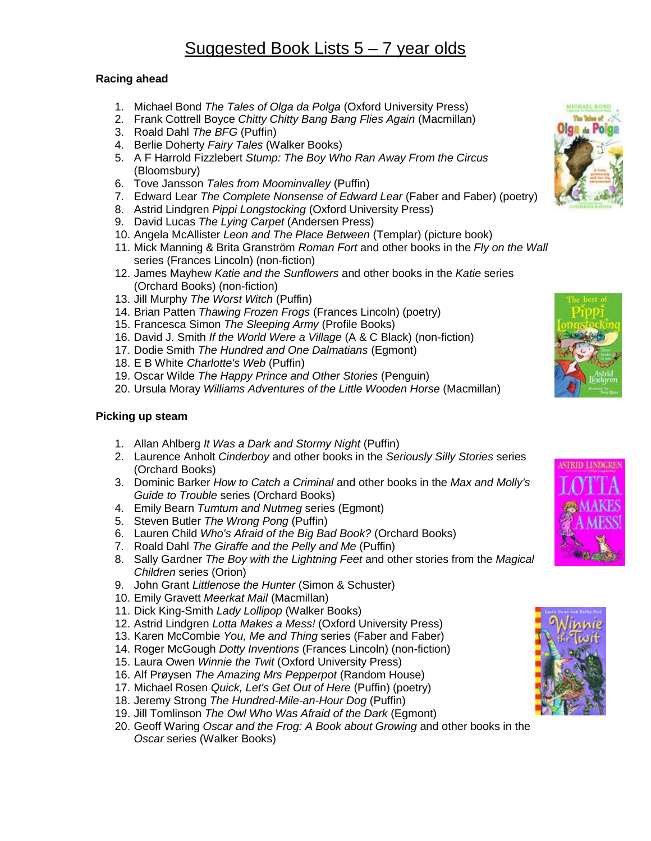## Suggested Book Lists 5 – 7 year olds

## **Racing ahead**

- 1. Michael Bond *The Tales of Olga da Polga* (Oxford University Press)
- 2. Frank Cottrell Boyce *Chitty Chitty Bang Bang Flies Again* (Macmillan)
- 3. Roald Dahl *The BFG* (Puffin)
- 4. Berlie Doherty *Fairy Tales* (Walker Books)
- 5. A F Harrold Fizzlebert *Stump: The Boy Who Ran Away From the Circus* (Bloomsbury)
- 6. Tove Jansson *Tales from Moominvalley* (Puffin)
- 7. Edward Lear *The Complete Nonsense of Edward Lear* (Faber and Faber) (poetry)
- 8. Astrid Lindgren *Pippi Longstocking* (Oxford University Press)
- 9. David Lucas *The Lying Carpet* (Andersen Press)
- 10. Angela McAllister *Leon and The Place Between* (Templar) (picture book)
- 11. Mick Manning & Brita Granström *Roman Fort* and other books in the *Fly on the Wall*  series (Frances Lincoln) (non-fiction)
- 12. James Mayhew *Katie and the Sunflowers* and other books in the *Katie* series (Orchard Books) (non-fiction)
- 13. Jill Murphy *The Worst Witch* (Puffin)
- 14. Brian Patten *Thawing Frozen Frogs* (Frances Lincoln) (poetry)
- 15. Francesca Simon *The Sleeping Army* (Profile Books)
- 16. David J. Smith *If the World Were a Village* (A & C Black) (non-fiction)
- 17. Dodie Smith *The Hundred and One Dalmatians* (Egmont)
- 18. E B White *Charlotte's Web* (Puffin)
- 19. Oscar Wilde *The Happy Prince and Other Stories* (Penguin)
- 20. Ursula Moray *Williams Adventures of the Little Wooden Horse* (Macmillan)

## **Picking up steam**

- 1. Allan Ahlberg *It Was a Dark and Stormy Night* (Puffin)
- 2. Laurence Anholt *Cinderboy* and other books in the *Seriously Silly Stories* series (Orchard Books)
- 3. Dominic Barker *How to Catch a Criminal* and other books in the *Max and Molly's Guide to Trouble* series (Orchard Books)
- 4. Emily Bearn *Tumtum and Nutmeg* series (Egmont)
- 5. Steven Butler *The Wrong Pong* (Puffin)
- 6. Lauren Child *Who's Afraid of the Big Bad Book?* (Orchard Books)
- 7. Roald Dahl *The Giraffe and the Pelly and Me* (Puffin)
- 8. Sally Gardner *The Boy with the Lightning Feet* and other stories from the *Magical Children* series (Orion)
- 9. John Grant *Littlenose the Hunter* (Simon & Schuster)
- 10. Emily Gravett *Meerkat Mail* (Macmillan)
- 11. Dick King-Smith *Lady Lollipop* (Walker Books)
- 12. Astrid Lindgren *Lotta Makes a Mess!* (Oxford University Press)
- 13. Karen McCombie *You, Me and Thing* series (Faber and Faber)
- 14. Roger McGough *Dotty Inventions* (Frances Lincoln) (non-fiction)
- 15. Laura Owen *Winnie the Twit* (Oxford University Press)
- 16. Alf Prøysen *The Amazing Mrs Pepperpot* (Random House)
- 17. Michael Rosen *Quick, Let's Get Out of Here* (Puffin) (poetry)
- 18. Jeremy Strong *The Hundred-Mile-an-Hour Dog* (Puffin)
- 19. Jill Tomlinson *The Owl Who Was Afraid of the Dark* (Egmont)
- 20. Geoff Waring *Oscar and the Frog: A Book about Growing* and other books in the *Oscar* series (Walker Books)